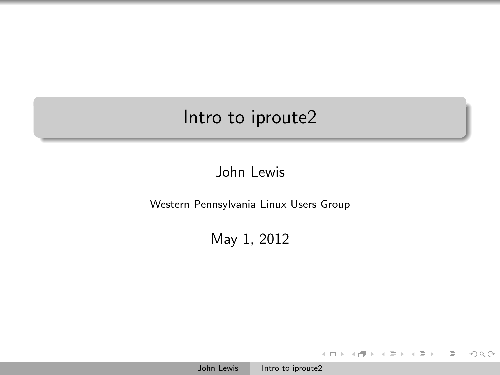## Intro to iproute2

## John Lewis

Western Pennsylvania Linux Users Group

May 1, 2012

 $\mathbf{A} \equiv \mathbf{B} \rightarrow \mathbf{A} \oplus \mathbf{B} \rightarrow \mathbf{A} \oplus \mathbf{B}$ 

<span id="page-0-0"></span> $\lambda \in \overline{\mathbb{R}}$  . In the set  $\equiv$  $\mathcal{O} \cup \mathcal{O}$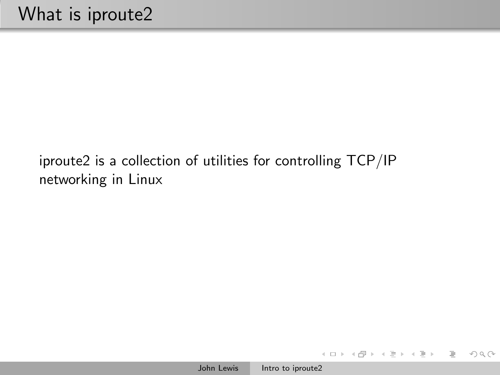iproute2 is a collection of utilities for controlling TCP/IP networking in Linux

イロト イ部 トイモト イモト

 $\equiv$ 

 $\mathcal{L} \subset \mathcal{L}$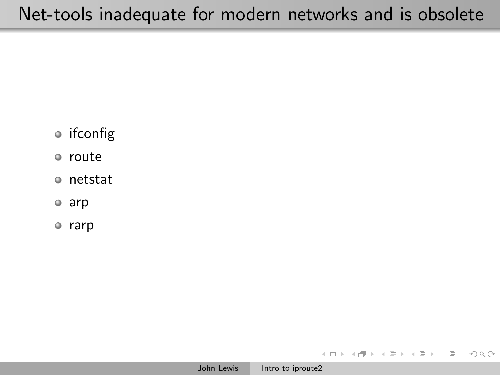- ifconfig
- route
- netstat
- arp
- rarp

イタン イミン イモン

 $\leftarrow$   $\Box$   $\rightarrow$ 

 $OQ$ 

Ξ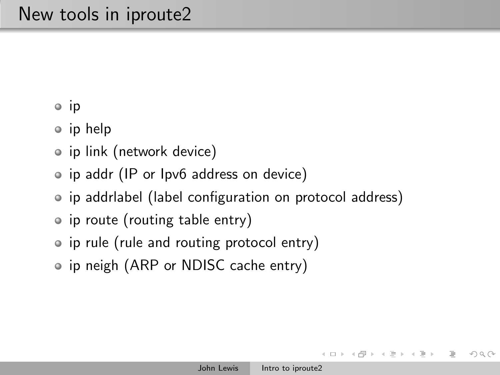• ip

- ip help
- ip link (network device)
- ip addr (IP or Ipv6 address on device)
- ip addrlabel (label configuration on protocol address)
- ip route (routing table entry)
- ip rule (rule and routing protocol entry)
- ip neigh (ARP or NDISC cache entry)

 $OQ$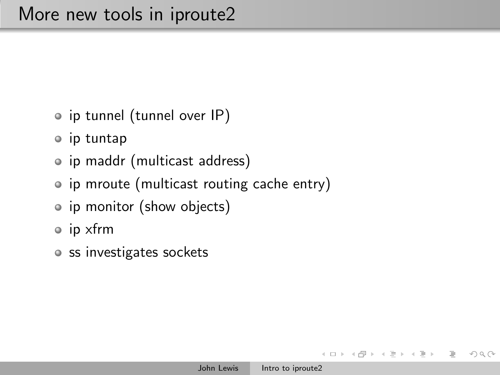- o ip tunnel (tunnel over IP)
- ip tuntap
- ip maddr (multicast address)
- ip mroute (multicast routing cache entry)
- ip monitor (show objects)
- ip xfrm
- o ss investigates sockets

 $OQ$ 

4 伊 ▶ ヨ ミ

 $\equiv$   $\rightarrow$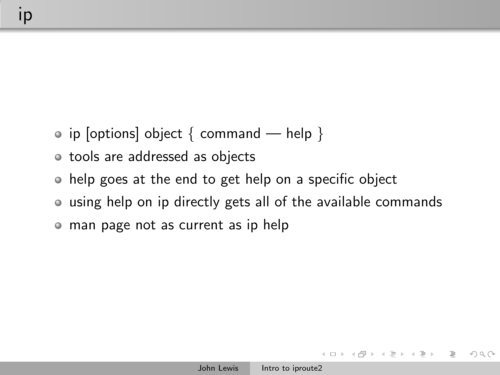- ip [options] object  $\{$  command help  $\}$
- tools are addressed as objects
- help goes at the end to get help on a specific object
- using help on ip directly gets all of the available commands
- man page not as current as ip help

 $OQ$ 

→ 何 ▶ → 手 ▶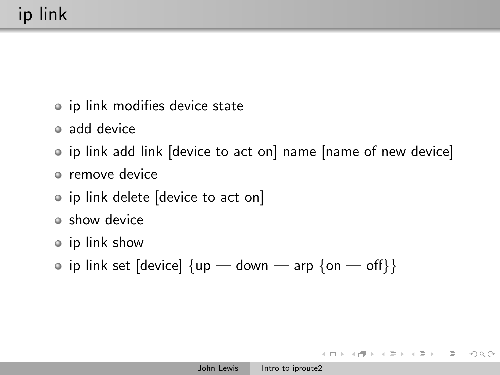- ip link modifies device state
- add device
- ip link add link [device to act on] name [name of new device]
- remove device
- ip link delete [device to act on]
- show device
- ip link show
- ip link set [device]  $\{up down arg \{on off\}\}\$

イロト イ押 トイヨ トイヨト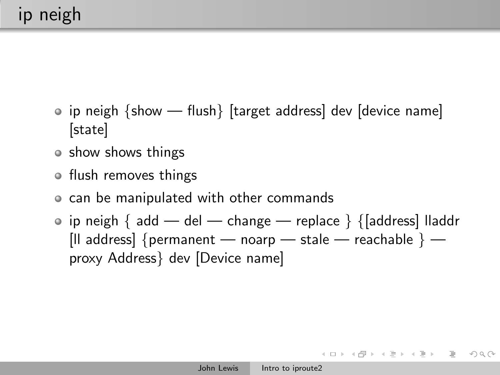- ip neigh {show flush} [target address] dev [device name] [state]
- show shows things
- flush removes things
- can be manipulated with other commands
- ip neigh  $\{$  add del change replace  $\}$   $\{$ [address] lladdr [Il address] {permanent — noarp — stale — reachable } proxy Address} dev [Device name]

イロト イ部 トイモト イモトー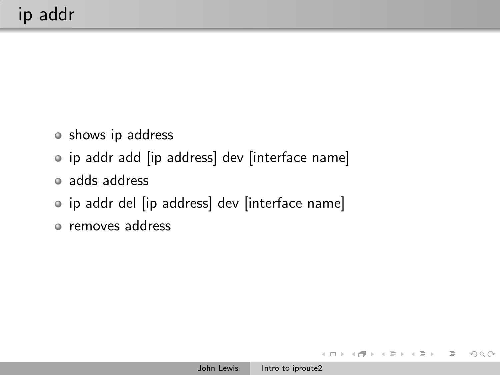- shows ip address
- ip addr add [ip address] dev [interface name]
- adds address
- ip addr del [ip address] dev [interface name]
- removes address

 $\leftarrow$   $\Box$   $\rightarrow$ 

 $\rightarrow$   $\oplus$   $\rightarrow$   $\rightarrow$   $\oplus$ 

 $\equiv$   $\rightarrow$ 

 $\equiv$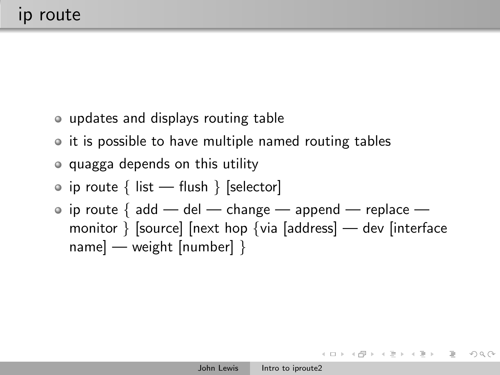- updates and displays routing table
- it is possible to have multiple named routing tables
- quagga depends on this utility
- ip route  $\{$  list flush  $\}$  [selector]
- ip route { add del change append replace monitor } [source] [next hop {via [address] — dev [interface name] — weight [number] }

イロン イ何ン イミン イミンニ ヨー の女心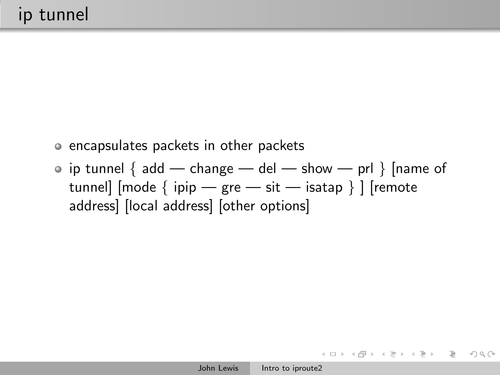- encapsulates packets in other packets
- ip tunnel  $\{$  add change del show prl  $\}$  [name of tunnel]  $[mode \{ ipip - gre - sit - isatap \}]$  [remote address] [local address] [other options]

イロト イ団ト イミト イヨト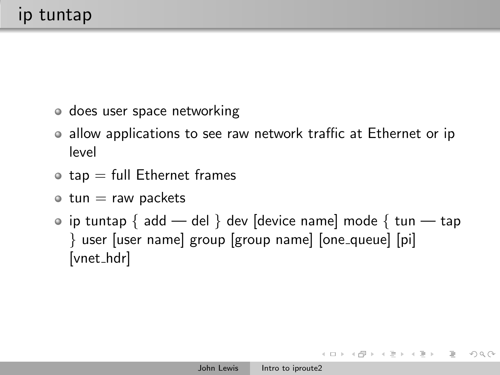- does user space networking
- allow applications to see raw network traffic at Ethernet or ip level
- $\bullet$  tap  $=$  full Ethernet frames
- $\bullet$  tun  $=$  raw packets
- $\bullet$  ip tuntap { add del } dev [device name] mode { tun tap } user [user name] group [group name] [one queue] [pi] [vnet\_hdrl

イラン イミン イミン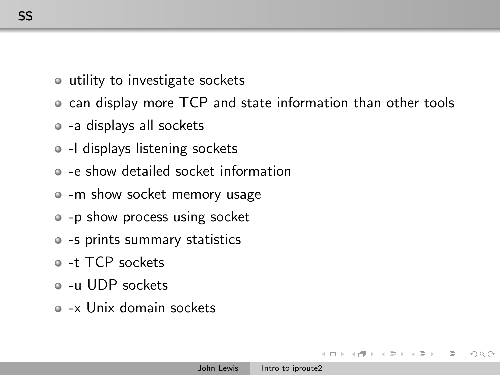- utility to investigate sockets
- can display more TCP and state information than other tools
- -a displays all sockets
- -l displays listening sockets
- -e show detailed socket information
- -m show socket memory usage
- -p show process using socket
- -s prints summary statistics
- -t TCP sockets
- -u UDP sockets
- -x Unix domain sockets

 $PQQ$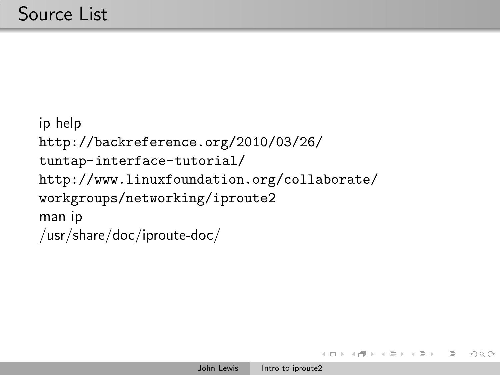```
ip help
http://backreference.org/2010/03/26/
tuntap-interface-tutorial/
http://www.linuxfoundation.org/collaborate/
workgroups/networking/iproute2
man ip
/usr/share/doc/iproute-doc/
```
 $A \oplus A \rightarrow A \oplus A$ 

 $\equiv$   $\rightarrow$